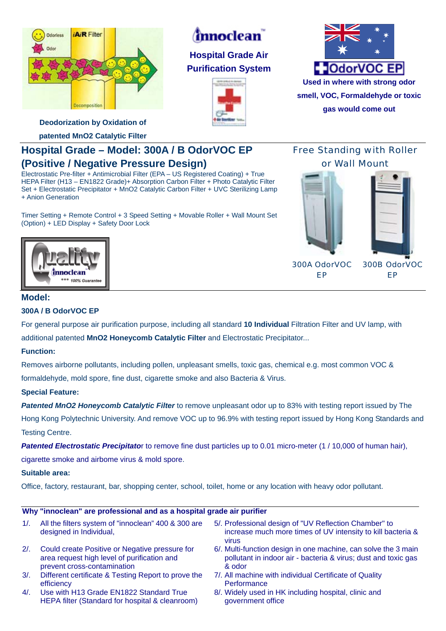

# *innoclean*

**Hospital Grade Air Purification System** 





**smell, VOC, Formaldehyde or toxic gas would come out**

**Deodorization by Oxidation of** 

**patented MnO2 Catalytic Filter** 

## **Hospital Grade – Model: 300A / B OdorVOC EP (Positive / Negative Pressure Design)**

Electrostatic Pre-filter + Antimicrobial Filter (EPA – US Registered Coating) + True HEPA Filter (H13 – EN1822 Grade)+ Absorption Carbon Filter + Photo Catalytic Filter Set + Electrostatic Precipitator + MnO2 Catalytic Carbon Filter + UVC Sterilizing Lamp + Anion Generation

Timer Setting + Remote Control + 3 Speed Setting + Movable Roller + Wall Mount Set (Option) + LED Display + Safety Door Lock

## Free Standing with Roller or Wall Mount



300A OdorVOC EP

300B OdorVOC EP



## **Model:**

### **300A / B OdorVOC EP**

For general purpose air purification purpose, including all standard **10 Individual** Filtration Filter and UV lamp, with additional patented **MnO2 Honeycomb Catalytic Filter** and Electrostatic Precipitator...

### **Function:**

Removes airborne pollutants, including pollen, unpleasant smells, toxic gas, chemical e.g. most common VOC & formaldehyde, mold spore, fine dust, cigarette smoke and also Bacteria & Virus.

### **Special Feature:**

*Patented MnO2 Honeycomb Catalytic Filter* to remove unpleasant odor up to 83% with testing report issued by The Hong Kong Polytechnic University. And remove VOC up to 96.9% with testing report issued by Hong Kong Standards and Testing Centre.

**Patented Electrostatic Precipitator** to remove fine dust particles up to 0.01 micro-meter (1/10,000 of human hair),

cigarette smoke and airbome virus & mold spore.

#### **Suitable area:**

Office, factory, restaurant, bar, shopping center, school, toilet, home or any location with heavy odor pollutant.

#### **Why "innoclean" are professional and as a hospital grade air purifier**

| 1/2    | All the filters system of "innoclean" 400 & 300 are<br>designed in Individual,                                               | 5/. Professional design of "UV Reflection Chamber" to<br>increase much more times of UV intensity to kill bacteria &<br>VIIUS              |
|--------|------------------------------------------------------------------------------------------------------------------------------|--------------------------------------------------------------------------------------------------------------------------------------------|
| 2/2    | Could create Positive or Negative pressure for<br>area request high level of purification and<br>prevent cross-contamination | 6/. Multi-function design in one machine, can solve the 3 main<br>pollutant in indoor air - bacteria & virus; dust and toxic gas<br>& odor |
| $3/$ . | Different certificate & Testing Report to prove the                                                                          | 7/. All machine with individual Certificate of Quality                                                                                     |

- efficiency 4/. Use with H13 Grade EN1822 Standard True HEPA filter (Standard for hospital & cleanroom)
- **Performance** 8/. Widely used in HK including hospital, clinic and government office